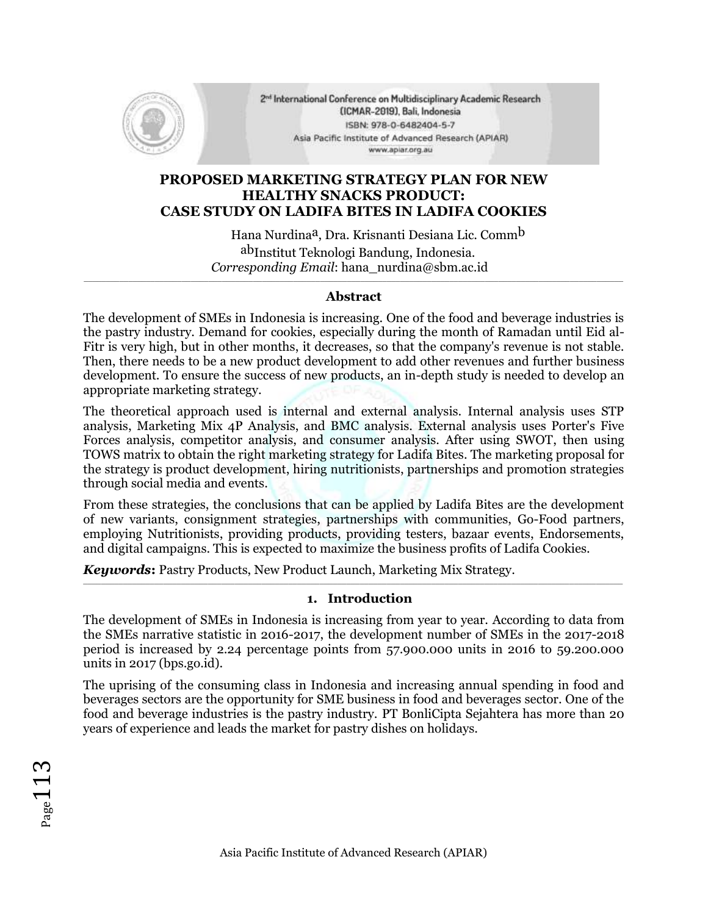

2<sup>nd</sup> International Conference on Multidisciplinary Academic Research (ICMAR-2019), Bali, Indonesia ISBN: 978-0-6482404-5-7 Asia Pacific Institute of Advanced Research (APIAR) www.apiar.org.au

## **PROPOSED MARKETING STRATEGY PLAN FOR NEW HEALTHY SNACKS PRODUCT: CASE STUDY ON LADIFA BITES IN LADIFA COOKIES**

Hana Nurdina<sup>a</sup>, Dra. Krisnanti Desiana Lic. Comm<sup>b</sup> abInstitut Teknologi Bandung, Indonesia. *Corresponding Email*: hana\_nurdina@sbm.ac.id

#### $\_$  , and the state of the state of the state of the state of the state of the state of the state of the state of the state of the state of the state of the state of the state of the state of the state of the state of the **Abstract**

The development of SMEs in Indonesia is increasing. One of the food and beverage industries is the pastry industry. Demand for cookies, especially during the month of Ramadan until Eid al-Fitr is very high, but in other months, it decreases, so that the company's revenue is not stable. Then, there needs to be a new product development to add other revenues and further business development. To ensure the success of new products, an in-depth study is needed to develop an appropriate marketing strategy.

The theoretical approach used is internal and external analysis. Internal analysis uses STP analysis, Marketing Mix 4P Analysis, and BMC analysis. External analysis uses Porter's Five Forces analysis, competitor analysis, and consumer analysis. After using SWOT, then using TOWS matrix to obtain the right marketing strategy for Ladifa Bites. The marketing proposal for the strategy is product development, hiring nutritionists, partnerships and promotion strategies through social media and events.

From these strategies, the conclusions that can be applied by Ladifa Bites are the development of new variants, consignment strategies, partnerships with communities, Go-Food partners, employing Nutritionists, providing products, providing testers, bazaar events, Endorsements, and digital campaigns. This is expected to maximize the business profits of Ladifa Cookies.

*Keywords***:** Pastry Products, New Product Launch, Marketing Mix Strategy.

## **1. Introduction**

\_\_\_\_\_\_\_\_\_\_\_\_\_\_\_\_\_\_\_\_\_\_\_\_\_\_\_\_\_\_\_\_\_\_\_\_\_\_\_\_\_\_\_\_\_\_\_\_\_\_\_\_\_\_\_\_\_\_\_\_\_\_\_\_\_\_\_\_\_\_\_\_\_\_\_\_\_\_\_\_\_\_\_\_\_\_\_\_\_\_\_\_\_\_\_\_\_\_\_\_\_\_\_\_\_\_\_\_\_\_\_\_\_\_\_\_\_\_\_\_\_

The development of SMEs in Indonesia is increasing from year to year. According to data from the SMEs narrative statistic in 2016-2017, the development number of SMEs in the 2017-2018 period is increased by 2.24 percentage points from 57.900.000 units in 2016 to 59.200.000 units in 2017 (bps.go.id).

The uprising of the consuming class in Indonesia and increasing annual spending in food and beverages sectors are the opportunity for SME business in food and beverages sector. One of the food and beverage industries is the pastry industry. PT BonliCipta Sejahtera has more than 20 years of experience and leads the market for pastry dishes on holidays.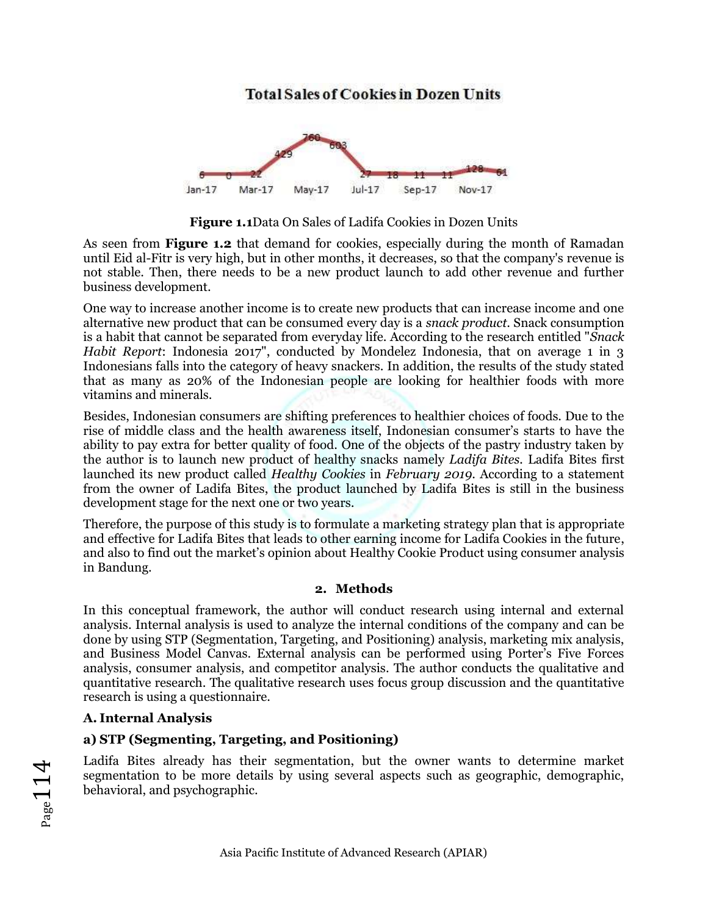# **Total Sales of Cookies in Dozen Units**



**Figure 1.1**Data On Sales of Ladifa Cookies in Dozen Units

As seen from **Figure 1.2** that demand for cookies, especially during the month of Ramadan until Eid al-Fitr is very high, but in other months, it decreases, so that the company's revenue is not stable. Then, there needs to be a new product launch to add other revenue and further business development.

One way to increase another income is to create new products that can increase income and one alternative new product that can be consumed every day is a *snack product*. Snack consumption is a habit that cannot be separated from everyday life. According to the research entitled "*Snack Habit Report*: Indonesia 2017", conducted by Mondelez Indonesia, that on average 1 in 3 Indonesians falls into the category of heavy snackers. In addition, the results of the study stated that as many as 20% of the Indonesian people are looking for healthier foods with more vitamins and minerals.

Besides, Indonesian consumers are shifting preferences to healthier choices of foods. Due to the rise of middle class and the health awareness itself, Indonesian consumer's starts to have the ability to pay extra for better quality of food. One of the objects of the pastry industry taken by the author is to launch new product of healthy snacks namely *Ladifa Bites.* Ladifa Bites first launched its new product called *Healthy Cookies* in *February 2019*. According to a statement from the owner of Ladifa Bites, the product launched by Ladifa Bites is still in the business development stage for the next one or two years*.*

Therefore, the purpose of this study is to formulate a marketing strategy plan that is appropriate and effective for Ladifa Bites that leads to other earning income for Ladifa Cookies in the future, and also to find out the market's opinion about Healthy Cookie Product using consumer analysis in Bandung.

#### **2. Methods**

In this conceptual framework, the author will conduct research using internal and external analysis. Internal analysis is used to analyze the internal conditions of the company and can be done by using STP (Segmentation, Targeting, and Positioning) analysis, marketing mix analysis, and Business Model Canvas. External analysis can be performed using Porter's Five Forces analysis, consumer analysis, and competitor analysis. The author conducts the qualitative and quantitative research. The qualitative research uses focus group discussion and the quantitative research is using a questionnaire.

#### **A. Internal Analysis**

#### **a) STP (Segmenting, Targeting, and Positioning)**

Ladifa Bites already has their segmentation, but the owner wants to determine market segmentation to be more details by using several aspects such as geographic, demographic, behavioral, and psychographic.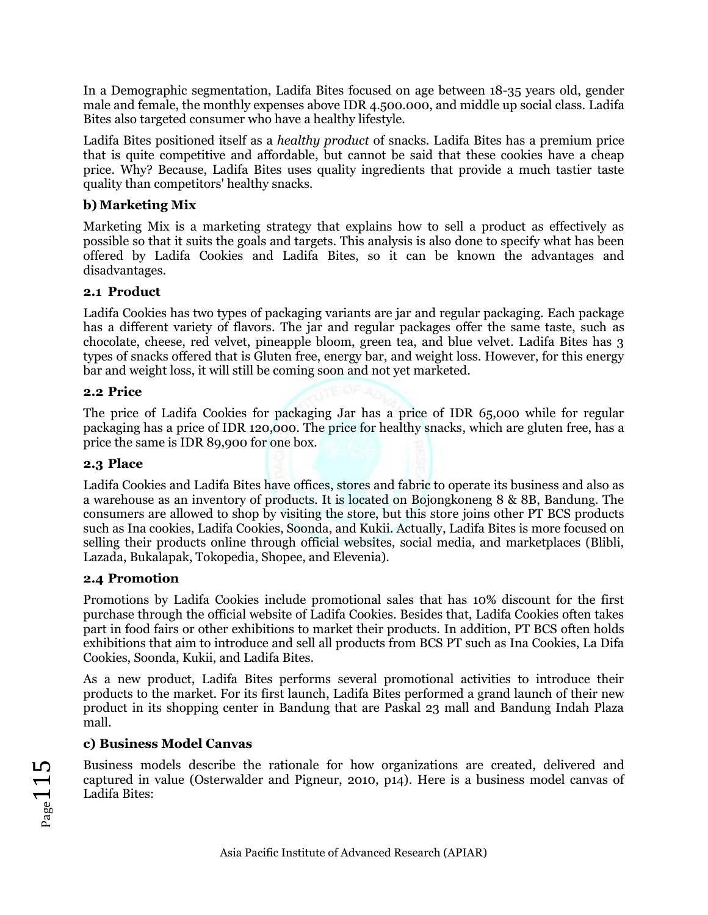In a Demographic segmentation, Ladifa Bites focused on age between 18-35 years old, gender male and female, the monthly expenses above IDR 4.500.000, and middle up social class. Ladifa Bites also targeted consumer who have a healthy lifestyle.

Ladifa Bites positioned itself as a *healthy product* of snacks. Ladifa Bites has a premium price that is quite competitive and affordable, but cannot be said that these cookies have a cheap price. Why? Because, Ladifa Bites uses quality ingredients that provide a much tastier taste quality than competitors' healthy snacks.

### **b) Marketing Mix**

Marketing Mix is a marketing strategy that explains how to sell a product as effectively as possible so that it suits the goals and targets. This analysis is also done to specify what has been offered by Ladifa Cookies and Ladifa Bites, so it can be known the advantages and disadvantages.

### **2.1 Product**

Ladifa Cookies has two types of packaging variants are jar and regular packaging. Each package has a different variety of flavors. The jar and regular packages offer the same taste, such as chocolate, cheese, red velvet, pineapple bloom, green tea, and blue velvet. Ladifa Bites has 3 types of snacks offered that is Gluten free, energy bar, and weight loss. However, for this energy bar and weight loss, it will still be coming soon and not yet marketed.

#### **2.2 Price**

The price of Ladifa Cookies for packaging Jar has a price of IDR 65,000 while for regular packaging has a price of IDR 120,000. The price for healthy snacks, which are gluten free, has a price the same is IDR 89,900 for one box.

#### **2.3 Place**

Ladifa Cookies and Ladifa Bites have offices, stores and fabric to operate its business and also as a warehouse as an inventory of products. It is located on Bojongkoneng 8 & 8B, Bandung. The consumers are allowed to shop by visiting the store, but this store joins other PT BCS products such as Ina cookies, Ladifa Cookies, Soonda, and Kukii. Actually, Ladifa Bites is more focused on selling their products online through official websites, social media, and marketplaces (Blibli, Lazada, Bukalapak, Tokopedia, Shopee, and Elevenia).

#### **2.4 Promotion**

Promotions by Ladifa Cookies include promotional sales that has 10% discount for the first purchase through the official website of Ladifa Cookies. Besides that, Ladifa Cookies often takes part in food fairs or other exhibitions to market their products. In addition, PT BCS often holds exhibitions that aim to introduce and sell all products from BCS PT such as Ina Cookies, La Difa Cookies, Soonda, Kukii, and Ladifa Bites.

As a new product, Ladifa Bites performs several promotional activities to introduce their products to the market. For its first launch, Ladifa Bites performed a grand launch of their new product in its shopping center in Bandung that are Paskal 23 mall and Bandung Indah Plaza mall.

## **c) Business Model Canvas**

Business models describe the rationale for how organizations are created, delivered and captured in value (Osterwalder and Pigneur, 2010, p14). Here is a business model canvas of Ladifa Bites: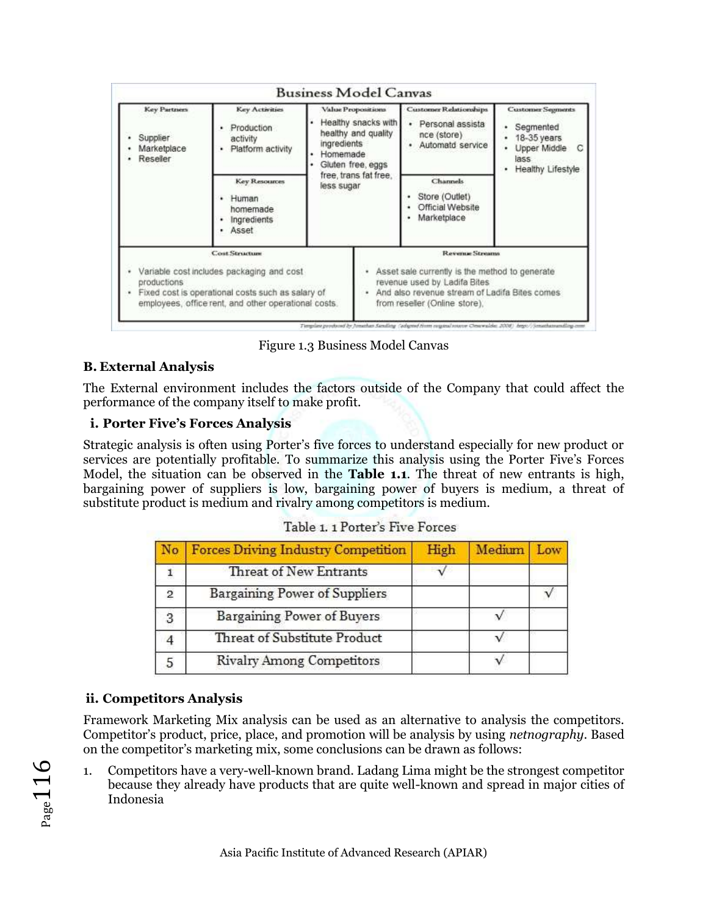| Key Partners<br>Supplier<br>Marketplace<br>Reseller | Key Activities<br>Production<br>activity<br>Platform activity                                                                                                                   | Value Propositions<br>Healthy snacks with<br>healthy and quality<br>ingredients<br>Homemade<br>Gluten free, eggs |  | Customer Relationships<br>Personal assista<br>$\cdot$<br>nce (store)<br>Automatd service                                                                                            | <b>Customer Segments</b><br>Segmented<br>18-35 years<br>Upper Middle<br>C<br>lass<br>Healthy Lifestyle |  |
|-----------------------------------------------------|---------------------------------------------------------------------------------------------------------------------------------------------------------------------------------|------------------------------------------------------------------------------------------------------------------|--|-------------------------------------------------------------------------------------------------------------------------------------------------------------------------------------|--------------------------------------------------------------------------------------------------------|--|
|                                                     | free, trans fat free.<br><b>Key Resources</b><br>less sugar<br>Human<br>homemade<br>Ingredients<br>Asset                                                                        |                                                                                                                  |  | Channels<br>Store (Outlet)<br>Official Website<br>Marketplace                                                                                                                       |                                                                                                        |  |
| productions                                         | <b>Cost Structure</b><br>Variable cost includes packaging and cost<br>Fixed cost is operational costs such as salary of<br>employees, office rent, and other operational costs. |                                                                                                                  |  | Revenue Streams<br>Asset sale currently is the method to generate<br>revenue used by Ladifa Bites<br>And also revenue stream of Ladifa Bites comes<br>from reseller (Online store). |                                                                                                        |  |

Figure 1.3 Business Model Canvas

## **B. External Analysis**

The External environment includes the factors outside of the Company that could affect the performance of the company itself to make profit.

## **i. Porter Five's Forces Analysis**

Strategic analysis is often using Porter's five forces to understand especially for new product or services are potentially profitable. To summarize this analysis using the Porter Five's Forces Model, the situation can be observed in the **Table 1.1**. The threat of new entrants is high, bargaining power of suppliers is low, bargaining power of buyers is medium, a threat of substitute product is medium and rivalry among competitors is medium.

|   | <b>Forces Driving Industry Competition</b> | High | Medium |  |
|---|--------------------------------------------|------|--------|--|
|   | Threat of New Entrants                     |      |        |  |
| 2 | <b>Bargaining Power of Suppliers</b>       |      |        |  |
|   | <b>Bargaining Power of Buyers</b>          |      |        |  |
|   | Threat of Substitute Product               |      |        |  |
|   | <b>Rivalry Among Competitors</b>           |      |        |  |

| Table 1. 1 Porter's Five Forces |  |  |  |  |
|---------------------------------|--|--|--|--|
|---------------------------------|--|--|--|--|

## **ii. Competitors Analysis**

Framework Marketing Mix analysis can be used as an alternative to analysis the competitors. Competitor's product, price, place, and promotion will be analysis by using *netnography*. Based on the competitor's marketing mix, some conclusions can be drawn as follows:

1. Competitors have a very-well-known brand. Ladang Lima might be the strongest competitor because they already have products that are quite well-known and spread in major cities of Indonesia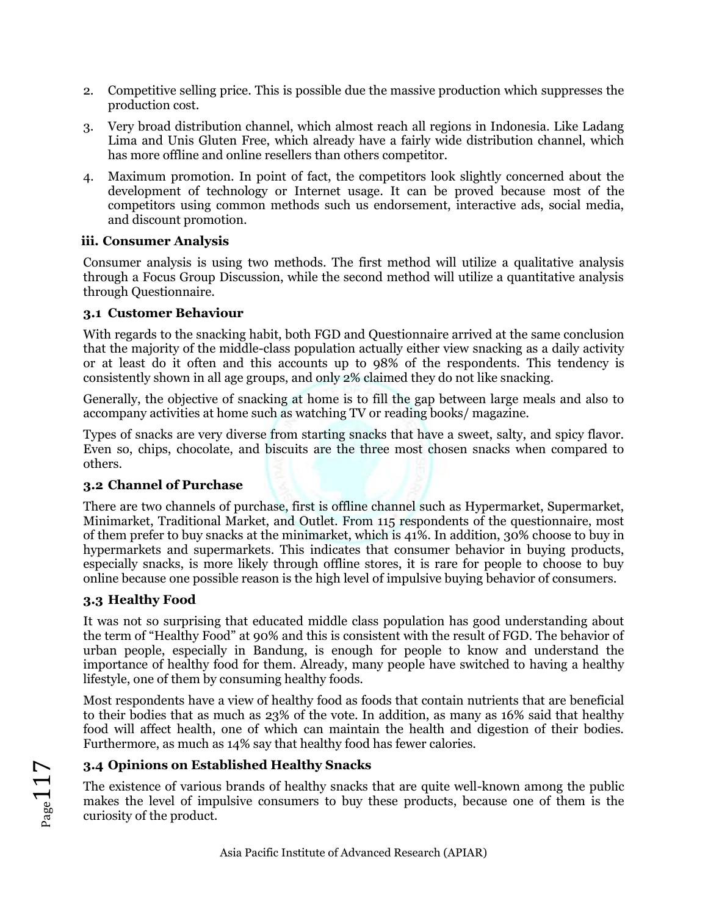- 2. Competitive selling price. This is possible due the massive production which suppresses the production cost.
- 3. Very broad distribution channel, which almost reach all regions in Indonesia. Like Ladang Lima and Unis Gluten Free, which already have a fairly wide distribution channel, which has more offline and online resellers than others competitor.
- 4. Maximum promotion. In point of fact, the competitors look slightly concerned about the development of technology or Internet usage. It can be proved because most of the competitors using common methods such us endorsement, interactive ads, social media, and discount promotion.

### **iii. Consumer Analysis**

Consumer analysis is using two methods. The first method will utilize a qualitative analysis through a Focus Group Discussion, while the second method will utilize a quantitative analysis through Questionnaire.

### **3.1 Customer Behaviour**

With regards to the snacking habit, both FGD and Questionnaire arrived at the same conclusion that the majority of the middle-class population actually either view snacking as a daily activity or at least do it often and this accounts up to 98% of the respondents. This tendency is consistently shown in all age groups, and only 2% claimed they do not like snacking.

Generally, the objective of snacking at home is to fill the gap between large meals and also to accompany activities at home such as watching TV or reading books/ magazine.

Types of snacks are very diverse from starting snacks that have a sweet, salty, and spicy flavor. Even so, chips, chocolate, and biscuits are the three most chosen snacks when compared to others.

## **3.2 Channel of Purchase**

There are two channels of purchase, first is offline channel such as Hypermarket, Supermarket, Minimarket, Traditional Market, and Outlet. From 115 respondents of the questionnaire, most of them prefer to buy snacks at the minimarket, which is 41%. In addition, 30% choose to buy in hypermarkets and supermarkets. This indicates that consumer behavior in buying products, especially snacks, is more likely through offline stores, it is rare for people to choose to buy online because one possible reason is the high level of impulsive buying behavior of consumers.

## **3.3 Healthy Food**

It was not so surprising that educated middle class population has good understanding about the term of "Healthy Food" at 90% and this is consistent with the result of FGD. The behavior of urban people, especially in Bandung, is enough for people to know and understand the importance of healthy food for them. Already, many people have switched to having a healthy lifestyle, one of them by consuming healthy foods.

Most respondents have a view of healthy food as foods that contain nutrients that are beneficial to their bodies that as much as 23% of the vote. In addition, as many as 16% said that healthy food will affect health, one of which can maintain the health and digestion of their bodies. Furthermore, as much as 14% say that healthy food has fewer calories.

## **3.4 Opinions on Established Healthy Snacks**

The existence of various brands of healthy snacks that are quite well-known among the public makes the level of impulsive consumers to buy these products, because one of them is the curiosity of the product.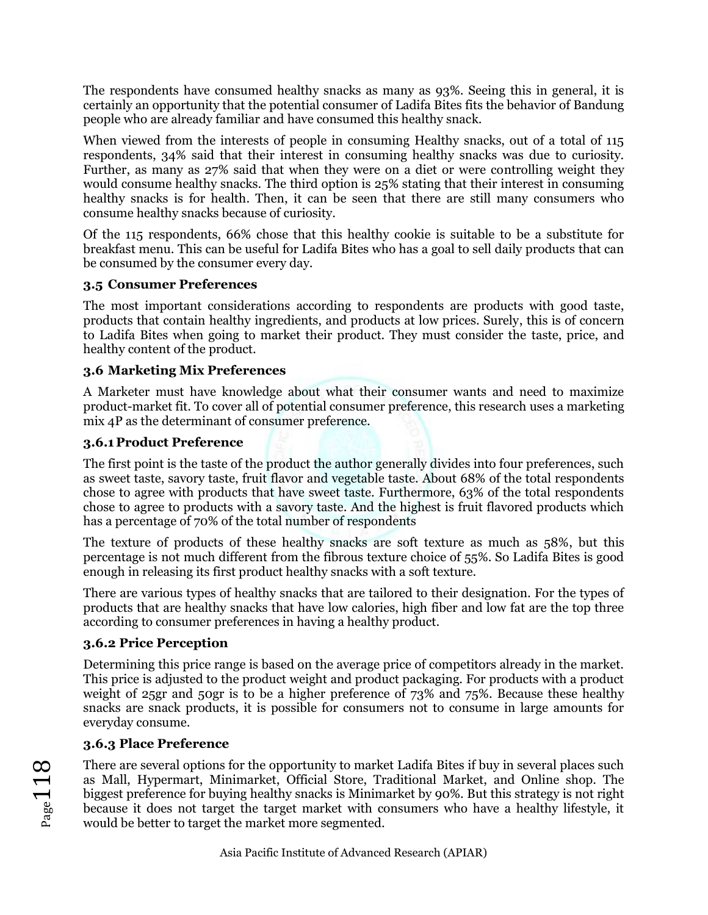The respondents have consumed healthy snacks as many as 93%. Seeing this in general, it is certainly an opportunity that the potential consumer of Ladifa Bites fits the behavior of Bandung people who are already familiar and have consumed this healthy snack.

When viewed from the interests of people in consuming Healthy snacks, out of a total of 115 respondents, 34% said that their interest in consuming healthy snacks was due to curiosity. Further, as many as 27% said that when they were on a diet or were controlling weight they would consume healthy snacks. The third option is 25% stating that their interest in consuming healthy snacks is for health. Then, it can be seen that there are still many consumers who consume healthy snacks because of curiosity.

Of the 115 respondents, 66% chose that this healthy cookie is suitable to be a substitute for breakfast menu. This can be useful for Ladifa Bites who has a goal to sell daily products that can be consumed by the consumer every day.

#### **3.5 Consumer Preferences**

The most important considerations according to respondents are products with good taste, products that contain healthy ingredients, and products at low prices. Surely, this is of concern to Ladifa Bites when going to market their product. They must consider the taste, price, and healthy content of the product.

### **3.6 Marketing Mix Preferences**

A Marketer must have knowledge about what their consumer wants and need to maximize product-market fit. To cover all of potential consumer preference, this research uses a marketing mix 4P as the determinant of consumer preference.

### **3.6.1 Product Preference**

The first point is the taste of the product the author generally divides into four preferences, such as sweet taste, savory taste, fruit flavor and vegetable taste. About 68% of the total respondents chose to agree with products that have sweet taste. Furthermore, 63% of the total respondents chose to agree to products with a savory taste. And the highest is fruit flavored products which has a percentage of 70% of the total number of respondents

The texture of products of these healthy snacks are soft texture as much as 58%, but this percentage is not much different from the fibrous texture choice of 55%. So Ladifa Bites is good enough in releasing its first product healthy snacks with a soft texture.

There are various types of healthy snacks that are tailored to their designation. For the types of products that are healthy snacks that have low calories, high fiber and low fat are the top three according to consumer preferences in having a healthy product.

#### **3.6.2 Price Perception**

Determining this price range is based on the average price of competitors already in the market. This price is adjusted to the product weight and product packaging. For products with a product weight of 25gr and 50gr is to be a higher preference of 73% and 75%. Because these healthy snacks are snack products, it is possible for consumers not to consume in large amounts for everyday consume.

## **3.6.3 Place Preference**

There are several options for the opportunity to market Ladifa Bites if buy in several places such as Mall, Hypermart, Minimarket, Official Store, Traditional Market, and Online shop. The biggest preference for buying healthy snacks is Minimarket by 90%. But this strategy is not right because it does not target the target market with consumers who have a healthy lifestyle, it would be better to target the market more segmented.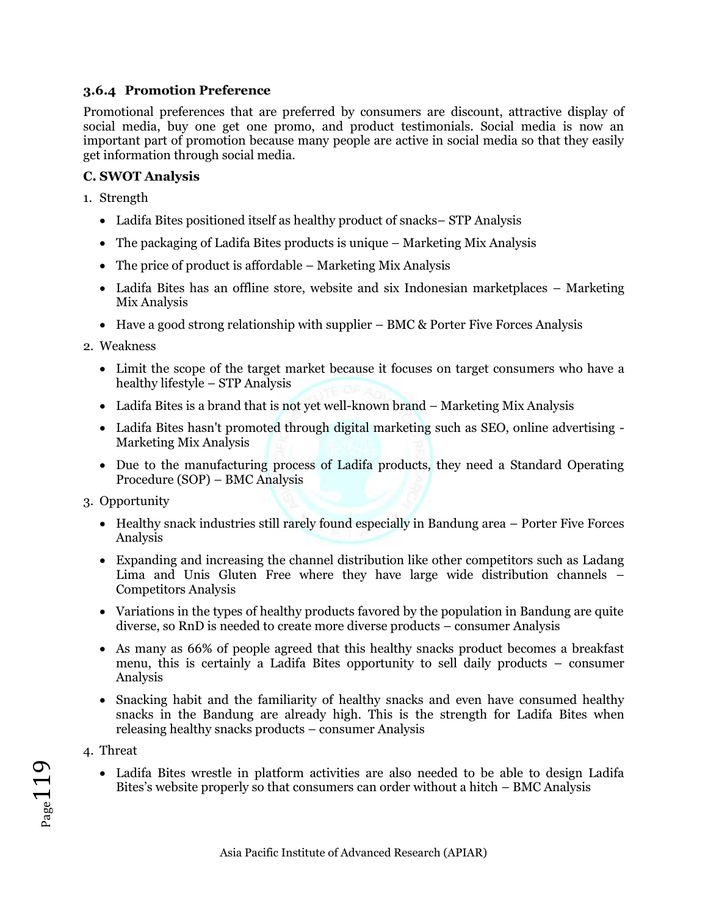### **3.6.4 Promotion Preference**

Promotional preferences that are preferred by consumers are discount, attractive display of social media, buy one get one promo, and product testimonials. Social media is now an important part of promotion because many people are active in social media so that they easily get information through social media.

### **C. SWOT Analysis**

- 1. Strength
	- Ladifa Bites positioned itself as healthy product of snacks– STP Analysis
	- The packaging of Ladifa Bites products is unique Marketing Mix Analysis
	- The price of product is affordable Marketing Mix Analysis
	- Ladifa Bites has an offline store, website and six Indonesian marketplaces Marketing Mix Analysis
	- Have a good strong relationship with supplier BMC & Porter Five Forces Analysis
- 2. Weakness
	- Limit the scope of the target market because it focuses on target consumers who have a healthy lifestyle – STP Analysis
	- Ladifa Bites is a brand that is not yet well-known brand Marketing Mix Analysis
	- Ladifa Bites hasn't promoted through digital marketing such as SEO, online advertising Marketing Mix Analysis
	- Due to the manufacturing process of Ladifa products, they need a Standard Operating Procedure (SOP) – BMC Analysis
- 3. Opportunity
	- Healthy snack industries still rarely found especially in Bandung area Porter Five Forces Analysis
	- Expanding and increasing the channel distribution like other competitors such as Ladang Lima and Unis Gluten Free where they have large wide distribution channels – Competitors Analysis
	- Variations in the types of healthy products favored by the population in Bandung are quite diverse, so RnD is needed to create more diverse products – consumer Analysis
	- As many as 66% of people agreed that this healthy snacks product becomes a breakfast menu, this is certainly a Ladifa Bites opportunity to sell daily products – consumer Analysis
	- Snacking habit and the familiarity of healthy snacks and even have consumed healthy snacks in the Bandung are already high. This is the strength for Ladifa Bites when releasing healthy snacks products – consumer Analysis
- 4. Threat

Page119

• Ladifa Bites wrestle in platform activities are also needed to be able to design Ladifa Bites's website properly so that consumers can order without a hitch – BMC Analysis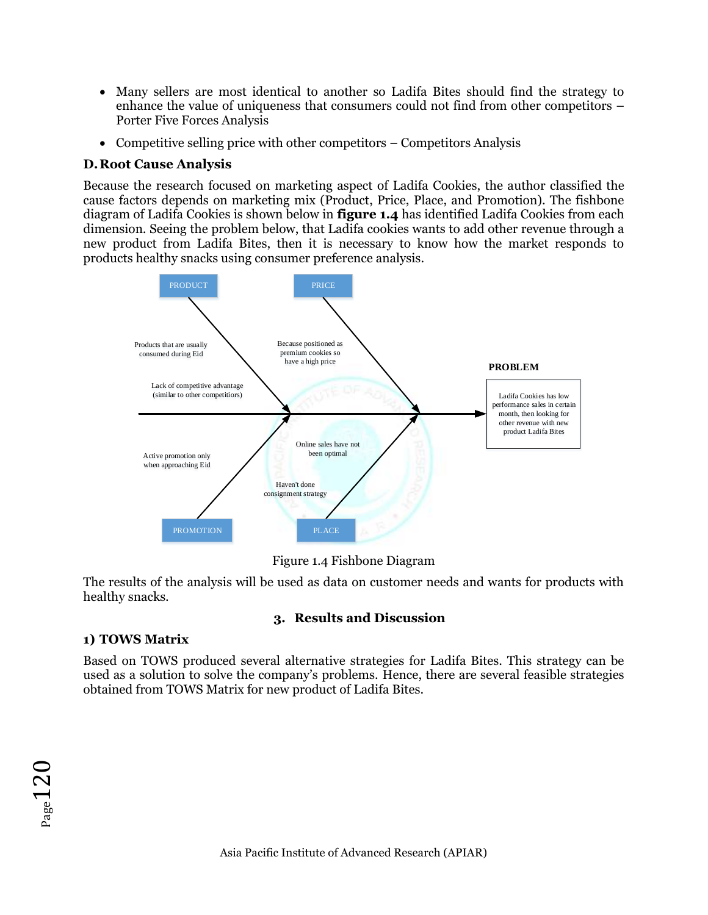- Many sellers are most identical to another so Ladifa Bites should find the strategy to enhance the value of uniqueness that consumers could not find from other competitors – Porter Five Forces Analysis
- Competitive selling price with other competitors Competitors Analysis

## **D.Root Cause Analysis**

Because the research focused on marketing aspect of Ladifa Cookies, the author classified the cause factors depends on marketing mix (Product, Price, Place, and Promotion). The fishbone diagram of Ladifa Cookies is shown below in **figure 1.4** has identified Ladifa Cookies from each dimension. Seeing the problem below, that Ladifa cookies wants to add other revenue through a new product from Ladifa Bites, then it is necessary to know how the market responds to products healthy snacks using consumer preference analysis.



Figure 1.4 Fishbone Diagram

The results of the analysis will be used as data on customer needs and wants for products with healthy snacks.

## **3. Results and Discussion**

## **1) TOWS Matrix**

Based on TOWS produced several alternative strategies for Ladifa Bites. This strategy can be used as a solution to solve the company's problems. Hence, there are several feasible strategies obtained from TOWS Matrix for new product of Ladifa Bites.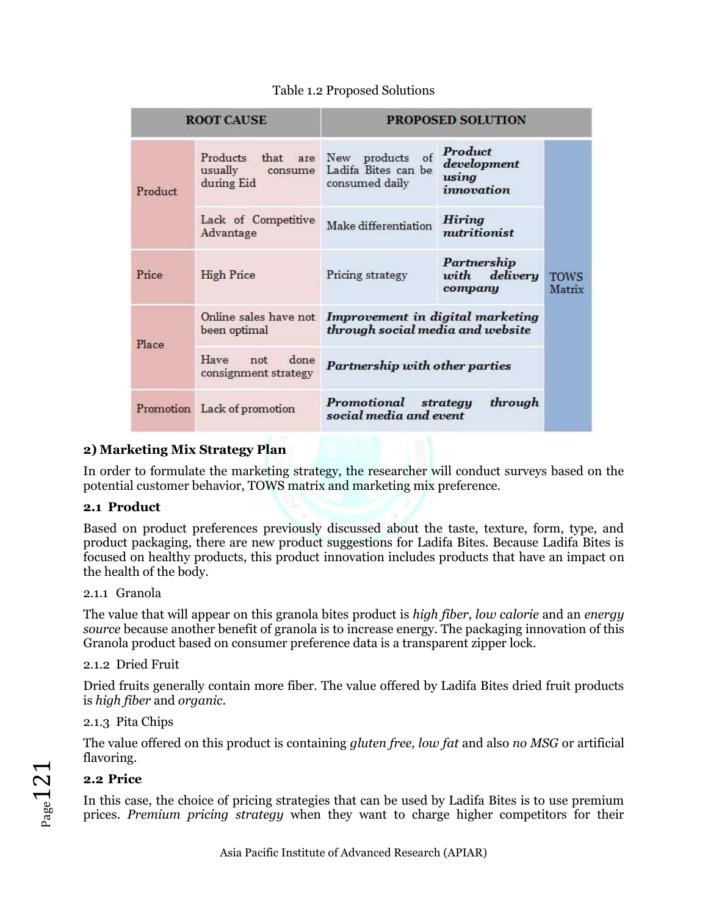| <b>ROOT CAUSE</b> |                                                                    | <b>PROPOSED SOLUTION</b>                                                                            |                                            |                       |  |
|-------------------|--------------------------------------------------------------------|-----------------------------------------------------------------------------------------------------|--------------------------------------------|-----------------------|--|
| Product           | Products that are New products<br>usually<br>consume<br>during Eid | Product<br>of<br>development<br>Ladifa Bites can be<br>using<br>consumed daily<br><i>innovation</i> |                                            |                       |  |
|                   | Lack of Competitive<br>Advantage                                   | Make differentiation                                                                                | <b>Hiring</b><br>nutritionist              |                       |  |
| Price             | <b>High Price</b>                                                  | Pricing strategy                                                                                    | Partnership<br>with<br>delivery<br>company | <b>TOWS</b><br>Matrix |  |
| Place             | Online sales have not<br>been optimal                              | Improvement in digital marketing<br>through social media and website                                |                                            |                       |  |
|                   | Have<br>done<br>not<br>consignment strategy                        | Partnership with other parties                                                                      |                                            |                       |  |
|                   | Promotion Lack of promotion                                        | Promotional<br>through<br>strategy<br>social media and event                                        |                                            |                       |  |

## Table 1.2 Proposed Solutions

## **2) Marketing Mix Strategy Plan**

In order to formulate the marketing strategy, the researcher will conduct surveys based on the potential customer behavior, TOWS matrix and marketing mix preference.

## **2.1 Product**

Based on product preferences previously discussed about the taste, texture, form, type, and product packaging, there are new product suggestions for Ladifa Bites. Because Ladifa Bites is focused on healthy products, this product innovation includes products that have an impact on the health of the body.

#### 2.1.1 Granola

The value that will appear on this granola bites product is *high fiber*, *low calorie* and an *energy source* because another benefit of granola is to increase energy. The packaging innovation of this Granola product based on consumer preference data is a transparent zipper lock.

#### 2.1.2 Dried Fruit

Dried fruits generally contain more fiber. The value offered by Ladifa Bites dried fruit products is *high fiber* and *organic*.

#### 2.1.3 Pita Chips

The value offered on this product is containing *gluten free, low fat* and also *no MSG* or artificial flavoring.

## **2.2 Price**

In this case, the choice of pricing strategies that can be used by Ladifa Bites is to use premium prices. *Premium pricing strategy* when they want to charge higher competitors for their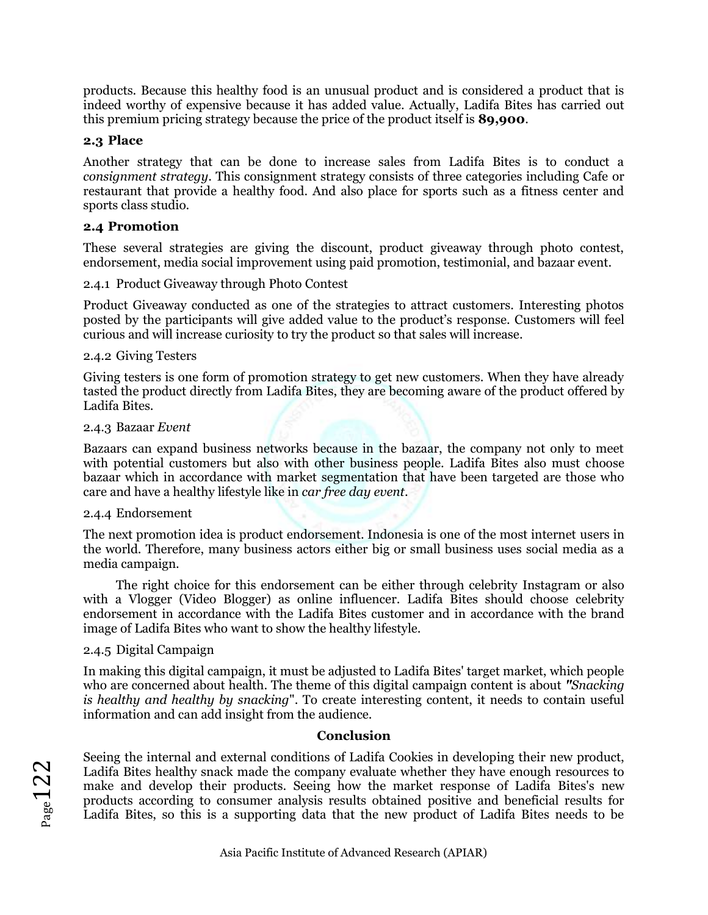products. Because this healthy food is an unusual product and is considered a product that is indeed worthy of expensive because it has added value. Actually, Ladifa Bites has carried out this premium pricing strategy because the price of the product itself is **89,900**.

#### **2.3 Place**

Another strategy that can be done to increase sales from Ladifa Bites is to conduct a *consignment strategy*. This consignment strategy consists of three categories including Cafe or restaurant that provide a healthy food. And also place for sports such as a fitness center and sports class studio.

#### **2.4 Promotion**

These several strategies are giving the discount, product giveaway through photo contest, endorsement, media social improvement using paid promotion, testimonial, and bazaar event.

2.4.1 Product Giveaway through Photo Contest

Product Giveaway conducted as one of the strategies to attract customers. Interesting photos posted by the participants will give added value to the product's response. Customers will feel curious and will increase curiosity to try the product so that sales will increase.

#### 2.4.2 Giving Testers

Giving testers is one form of promotion strategy to get new customers. When they have already tasted the product directly from Ladifa Bites, they are becoming aware of the product offered by Ladifa Bites.

#### 2.4.3 Bazaar *Event*

Bazaars can expand business networks because in the bazaar, the company not only to meet with potential customers but also with other business people. Ladifa Bites also must choose bazaar which in accordance with market segmentation that have been targeted are those who care and have a healthy lifestyle like in *car free day event*.

#### 2.4.4 Endorsement

The next promotion idea is product endorsement. Indonesia is one of the most internet users in the world. Therefore, many business actors either big or small business uses social media as a media campaign.

The right choice for this endorsement can be either through celebrity Instagram or also with a Vlogger (Video Blogger) as online influencer. Ladifa Bites should choose celebrity endorsement in accordance with the Ladifa Bites customer and in accordance with the brand image of Ladifa Bites who want to show the healthy lifestyle.

#### 2.4.5 Digital Campaign

In making this digital campaign, it must be adjusted to Ladifa Bites' target market, which people who are concerned about health. The theme of this digital campaign content is about *"Snacking is healthy and healthy by snacking*". To create interesting content, it needs to contain useful information and can add insight from the audience.

#### **Conclusion**

Seeing the internal and external conditions of Ladifa Cookies in developing their new product, Ladifa Bites healthy snack made the company evaluate whether they have enough resources to make and develop their products. Seeing how the market response of Ladifa Bites's new products according to consumer analysis results obtained positive and beneficial results for Ladifa Bites, so this is a supporting data that the new product of Ladifa Bites needs to be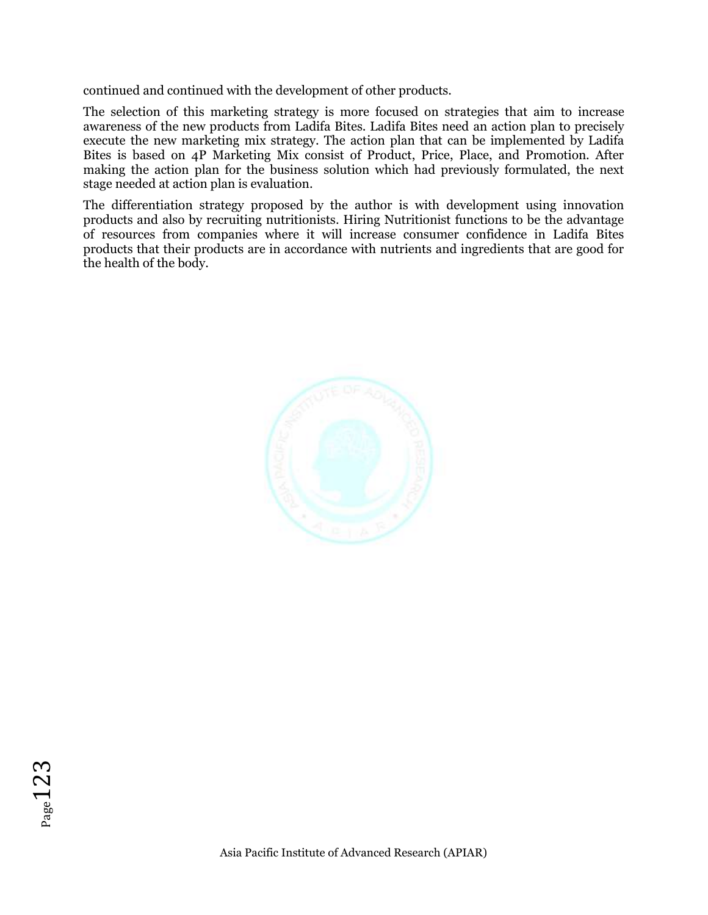continued and continued with the development of other products.

The selection of this marketing strategy is more focused on strategies that aim to increase awareness of the new products from Ladifa Bites. Ladifa Bites need an action plan to precisely execute the new marketing mix strategy. The action plan that can be implemented by Ladifa Bites is based on 4P Marketing Mix consist of Product, Price, Place, and Promotion. After making the action plan for the business solution which had previously formulated, the next stage needed at action plan is evaluation.

The differentiation strategy proposed by the author is with development using innovation products and also by recruiting nutritionists. Hiring Nutritionist functions to be the advantage of resources from companies where it will increase consumer confidence in Ladifa Bites products that their products are in accordance with nutrients and ingredients that are good for the health of the body.

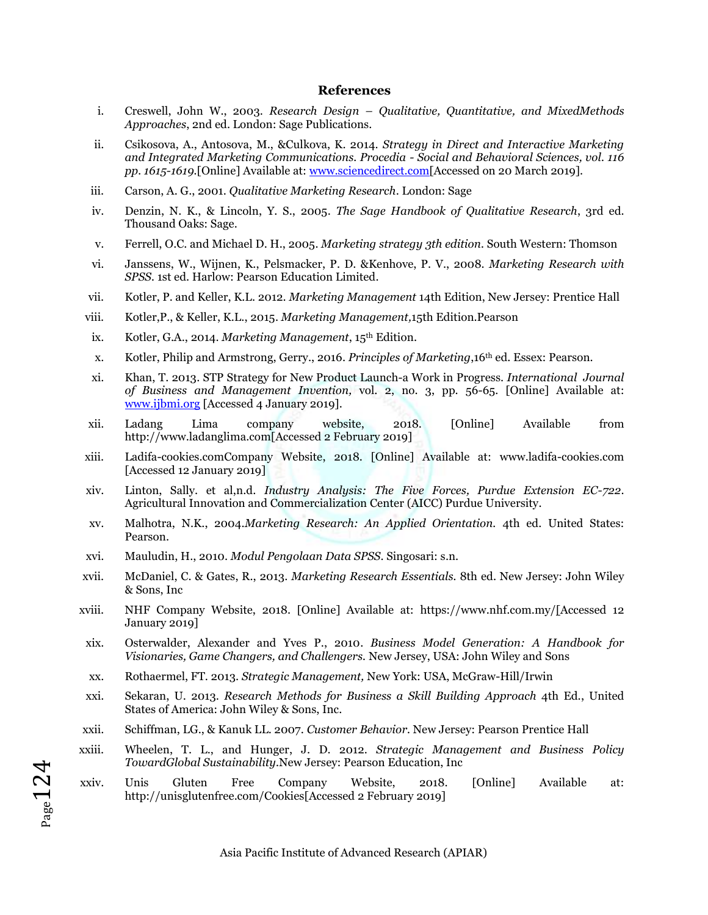#### **References**

- i. Creswell, John W., 2003. *Research Design – Qualitative, Quantitative, and MixedMethods Approaches*, 2nd ed. London: Sage Publications.
- ii. Csikosova, A., Antosova, M., &Culkova, K. 2014. *Strategy in Direct and Interactive Marketing and Integrated Marketing Communications. Procedia - Social and Behavioral Sciences, vol. 116 pp. 1615-1619.*[Online] Available at[: www.sciencedirect.com\[](http://www.sciencedirect.com/)Accessed on 20 March 2019].
- iii. Carson, A. G., 2001. *Qualitative Marketing Research*. London: Sage
- iv. Denzin, N. K., & Lincoln, Y. S., 2005. *The Sage Handbook of Qualitative Research*, 3rd ed. Thousand Oaks: Sage.
- v. Ferrell, O.C. and Michael D. H., 2005. *Marketing strategy 3th edition.* South Western: Thomson
- vi. Janssens, W., Wijnen, K., Pelsmacker, P. D. &Kenhove, P. V., 2008. *Marketing Research with SPSS.* 1st ed. Harlow: Pearson Education Limited.
- vii. Kotler, P. and Keller, K.L. 2012. *Marketing Management* 14th Edition, New Jersey: Prentice Hall
- viii. Kotler,P., & Keller, K.L., 2015. *Marketing Management,*15th Edition.Pearson
- ix. Kotler, G.A., 2014. *Marketing Management*, 15th Edition.
- x. Kotler, Philip and Armstrong, Gerry., 2016. *Principles of Marketing*,16th ed. Essex: Pearson.
- xi. Khan, T. 2013. STP Strategy for New Product Launch-a Work in Progress. *International Journal of Business and Management Invention,* vol. 2, no. 3, pp. 56-65. [Online] Available at: [www.ijbmi.org](http://www.ijbmi.org/) [Accessed 4 January 2019].
- xii. Ladang Lima company website, 2018. [Online] Available from http://www.ladanglima.com[Accessed 2 February 2019]
- xiii. Ladifa-cookies.comCompany Website, 2018. [Online] Available at: www.ladifa-cookies.com [Accessed 12 January 2019]
- xiv. Linton, Sally. et al,n.d. *Industry Analysis: The Five Forces, Purdue Extension EC-722*. Agricultural Innovation and Commercialization Center (AICC) Purdue University.
- xv. Malhotra, N.K., 2004.*Marketing Research: An Applied Orientation.* 4th ed. United States: Pearson.
- xvi. Mauludin, H., 2010. *Modul Pengolaan Data SPSS*. Singosari: s.n.
- xvii. McDaniel, C. & Gates, R., 2013. *Marketing Research Essentials.* 8th ed. New Jersey: John Wiley & Sons, Inc
- xviii. NHF Company Website, 2018. [Online] Available at: https://www.nhf.com.my/[Accessed 12 January 2019]
- xix. Osterwalder, Alexander and Yves P., 2010. *Business Model Generation: A Handbook for Visionaries, Game Changers, and Challengers.* New Jersey, USA: John Wiley and Sons
- xx. Rothaermel, FT. 2013. *Strategic Management,* New York: USA, McGraw-Hill/Irwin
- xxi. Sekaran, U. 2013. *Research Methods for Business a Skill Building Approach* 4th Ed., United States of America: John Wiley & Sons, Inc.
- xxii. Schiffman, LG., & Kanuk LL. 2007. *Customer Behavior.* New Jersey: Pearson Prentice Hall
- xxiii. Wheelen, T. L., and Hunger, J. D. 2012. *Strategic Management and Business Policy TowardGlobal Sustainability.*New Jersey: Pearson Education, Inc
- xxiv. Unis Gluten Free Company Website, 2018. [Online] Available at: http://unisglutenfree.com/Cookies[Accessed 2 February 2019]